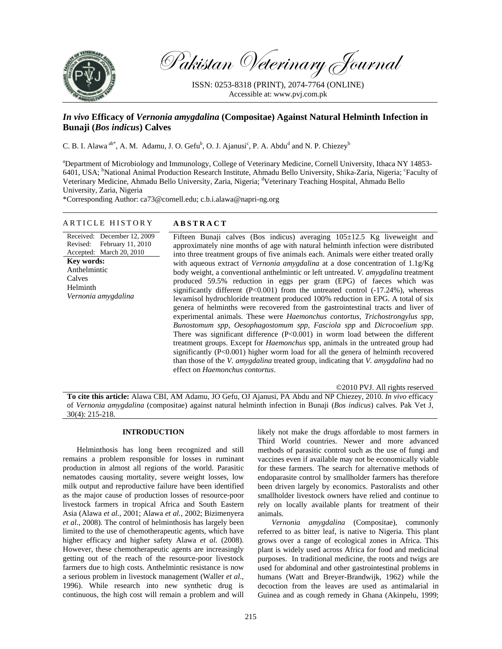

Pakistan Veterinary Journal

ISSN: 0253-8318 (PRINT), 2074-7764 (ONLINE) Accessible at: www.pvj.com.pk

# *In vivo* **Efficacy of** *Vernonia amygdalina* **(Compositae) Against Natural Helminth Infection in Bunaji (***Bos indicus***) Calves**

C. B. I. Alawa<sup>ab\*</sup>, A. M. Adamu, J. O. Gefu<sup>b</sup>, O. J. Ajanusi<sup>c</sup>, P. A. Abdu<sup>d</sup> and N. P. Chiezey<sup>b</sup>

a Department of Microbiology and Immunology, College of Veterinary Medicine, Cornell University, Ithaca NY 14853- 6401, USA; <sup>b</sup>National Animal Production Research Institute, Ahmadu Bello University, Shika-Zaria, Nigeria; 'Faculty of Veterinary Medicine, Ahmadu Bello University, Zaria, Nigeria; <sup>d</sup>Veterinary Teaching Hospital, Ahmadu Bello University, Zaria, Nigeria

\*Corresponding Author: ca73@cornell.edu; c.b.i.alawa@napri-ng.org

# ARTICLE HISTORY **ABSTRACT**

# Received: December 12, 2009 Revised: February 11, 2010 Accepted: March 20, 2010 **Key words:**  Anthelmintic Calves Helminth *Vernonia amygdalina*

Fifteen Bunaji calves (Bos indicus) averaging 105±12.5 Kg liveweight and approximately nine months of age with natural helminth infection were distributed into three treatment groups of five animals each. Animals were either treated orally with aqueous extract of *Vernonia amygdalina* at a dose concentration of 1.1g/Kg body weight, a conventional anthelmintic or left untreated. *V. amygdalina* treatment produced 59.5% reduction in eggs per gram (EPG) of faeces which was significantly different  $(P<0.001)$  from the untreated control  $(-17.24\%)$ , whereas levamisol hydrochloride treatment produced 100% reduction in EPG. A total of six genera of helminths were recovered from the gastrointestinal tracts and liver of experimental animals. These were *Haemonchus contortus*, *Trichostrongylus spp*, *Bunostomum spp*, *Oesophagostomum spp*, *Fasciola spp* and *Dicrocoelium spp*. There was significant difference (P<0.001) in worm load between the different treatment groups. Except for *Haemonchus* spp, animals in the untreated group had significantly (P<0.001) higher worm load for all the genera of helminth recovered than those of the *V. amygdalina* treated group, indicating that *V. amygdalina* had no effect on *Haemonchus contortus*.

©2010 PVJ. All rights reserved

**To cite this article:** Alawa CBI, AM Adamu, JO Gefu, OJ Ajanusi, PA Abdu and NP Chiezey, 2010. *In vivo* efficacy of *Vernonia amygdalina* (compositae) against natural helminth infection in Bunaji (*Bos indicus*) calves. Pak Vet J, 30(4): 215-218.

## **INTRODUCTION**

Helminthosis has long been recognized and still remains a problem responsible for losses in ruminant production in almost all regions of the world. Parasitic nematodes causing mortality, severe weight losses, low milk output and reproductive failure have been identified as the major cause of production losses of resource-poor livestock farmers in tropical Africa and South Eastern Asia (Alawa *et al.*, 2001; Alawa *et al.*, 2002; Bizimenyera *et al.*, 2008). The control of helminthosis has largely been limited to the use of chemotherapeutic agents, which have higher efficacy and higher safety Alawa et al. (2008). However, these chemotherapeutic agents are increasingly getting out of the reach of the resource-poor livestock farmers due to high costs. Anthelmintic resistance is now a serious problem in livestock management (Waller *et al.*, 1996). While research into new synthetic drug is continuous, the high cost will remain a problem and will

likely not make the drugs affordable to most farmers in Third World countries. Newer and more advanced methods of parasitic control such as the use of fungi and vaccines even if available may not be economically viable for these farmers. The search for alternative methods of endoparasite control by smallholder farmers has therefore been driven largely by economics. Pastoralists and other smallholder livestock owners have relied and continue to rely on locally available plants for treatment of their animals.

*Vernonia amygdalina* (Compositae), commonly referred to as bitter leaf, is native to Nigeria. This plant grows over a range of ecological zones in Africa. This plant is widely used across Africa for food and medicinal purposes. In traditional medicine, the roots and twigs are used for abdominal and other gastrointestinal problems in humans (Watt and Breyer-Brandwijk, 1962) while the decoction from the leaves are used as antimalarial in Guinea and as cough remedy in Ghana (Akinpelu, 1999;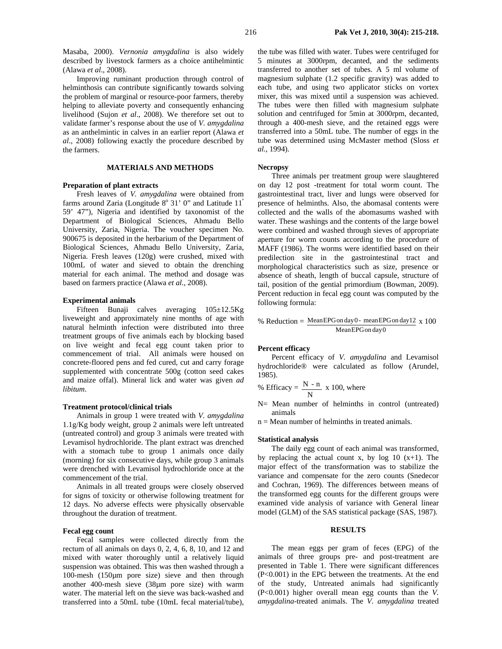Masaba, 2000). *Vernonia amygdalina* is also widely described by livestock farmers as a choice antihelmintic (Alawa *et al*., 2008).

Improving ruminant production through control of helminthosis can contribute significantly towards solving the problem of marginal or resource-poor farmers, thereby helping to alleviate poverty and consequently enhancing livelihood (Sujon *et al*., 2008). We therefore set out to validate farmer's response about the use of *V. amygdalina* as an anthelmintic in calves in an earlier report (Alawa *et al*., 2008) following exactly the procedure described by the farmers.

# **MATERIALS AND METHODS**

## **Preparation of plant extracts**

Fresh leaves of *V. amygdalina* were obtained from farms around Zaria (Longitude  $8^{\circ}$  31' 0" and Latitude 11<sup>°</sup> 59' 47"), Nigeria and identified by taxonomist of the Department of Biological Sciences, Ahmadu Bello University, Zaria, Nigeria. The voucher specimen No. 900675 is deposited in the herbarium of the Department of Biological Sciences, Ahmadu Bello University, Zaria, Nigeria. Fresh leaves (120g) were crushed, mixed with 100mL of water and sieved to obtain the drenching material for each animal. The method and dosage was based on farmers practice (Alawa *et al.*, 2008).

#### **Experimental animals**

Fifteen Bunaji calves averaging 105±12.5Kg liveweight and approximately nine months of age with natural helminth infection were distributed into three treatment groups of five animals each by blocking based on live weight and fecal egg count taken prior to commencement of trial. All animals were housed on concrete-floored pens and fed cured, cut and carry forage supplemented with concentrate 500g (cotton seed cakes and maize offal). Mineral lick and water was given *ad libitum*.

## **Treatment protocol/clinical trials**

Animals in group 1 were treated with *V. amygdalina* 1.1g/Kg body weight, group 2 animals were left untreated (untreated control) and group 3 animals were treated with Levamisol hydrochloride. The plant extract was drenched with a stomach tube to group 1 animals once daily (morning) for six consecutive days, while group 3 animals were drenched with Levamisol hydrochloride once at the commencement of the trial.

Animals in all treated groups were closely observed for signs of toxicity or otherwise following treatment for 12 days. No adverse effects were physically observable throughout the duration of treatment.

#### **Fecal egg count**

Fecal samples were collected directly from the rectum of all animals on days 0, 2, 4, 6, 8, 10, and 12 and mixed with water thoroughly until a relatively liquid suspension was obtained. This was then washed through a 100-mesh (150µm pore size) sieve and then through another 400-mesh sieve (38µm pore size) with warm water. The material left on the sieve was back-washed and transferred into a 50mL tube (10mL fecal material/tube),

the tube was filled with water. Tubes were centrifuged for 5 minutes at 3000rpm, decanted, and the sediments transferred to another set of tubes. A 5 ml volume of magnesium sulphate (1.2 specific gravity) was added to each tube, and using two applicator sticks on vortex mixer, this was mixed until a suspension was achieved. The tubes were then filled with magnesium sulphate solution and centrifuged for 5min at 3000rpm, decanted, through a 400-mesh sieve, and the retained eggs were transferred into a 50mL tube. The number of eggs in the tube was determined using McMaster method (Sloss *et al.*, 1994).

## **Necropsy**

Three animals per treatment group were slaughtered on day 12 post -treatment for total worm count. The gastrointestinal tract, liver and lungs were observed for presence of helminths. Also, the abomasal contents were collected and the walls of the abomasums washed with water. These washings and the contents of the large bowel were combined and washed through sieves of appropriate aperture for worm counts according to the procedure of MAFF (1986). The worms were identified based on their predilection site in the gastrointestinal tract and morphological characteristics such as size, presence or absence of sheath, length of buccal capsule, structure of tail, position of the gential primordium (Bowman, 2009). Percent reduction in fecal egg count was computed by the following formula:

% Reduction =  $MeanEPG on day 0 - mean EPG on day 12 \times 100$ Mean EPG on day 0

## **Percent efficacy**

Percent efficacy of *V. amygdalina* and Levamisol hydrochloride® were calculated as follow (Arundel, 1985).

% Efficiency = 
$$
\frac{N - n}{N}
$$
 x 100, where

N= Mean number of helminths in control (untreated) animals

n = Mean number of helminths in treated animals.

#### **Statistical analysis**

The daily egg count of each animal was transformed, by replacing the actual count x, by log 10  $(x+1)$ . The major effect of the transformation was to stabilize the variance and compensate for the zero counts (Snedecor and Cochran, 1969). The differences between means of the transformed egg counts for the different groups were examined vide analysis of variance with General linear model (GLM) of the SAS statistical package (SAS, 1987).

#### **RESULTS**

The mean eggs per gram of feces (EPG) of the animals of three groups pre- and post-treatment are presented in Table 1. There were significant differences (P<0.001) in the EPG between the treatments. At the end of the study, Untreated animals had significantly (P<0.001) higher overall mean egg counts than the *V. amygdalina-*treated animals. The *V. amygdalina* treated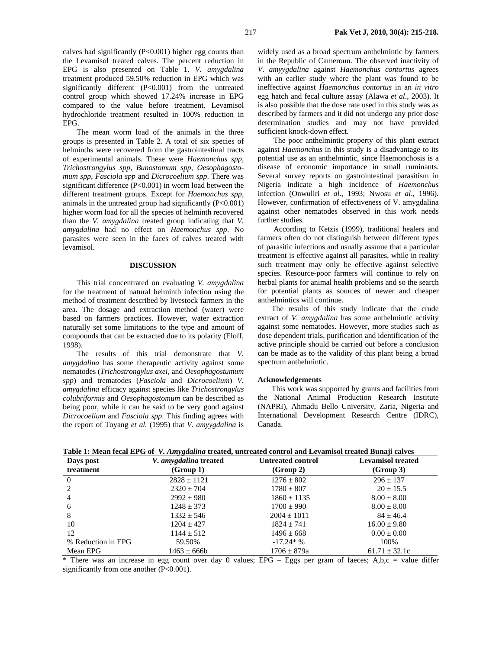calves had significantly  $(P<0.001)$  higher egg counts than the Levamisol treated calves. The percent reduction in EPG is also presented on Table 1. *V. amygdalina*  treatment produced 59.50% reduction in EPG which was significantly different (P<0.001) from the untreated control group which showed 17.24% increase in EPG compared to the value before treatment. Levamisol hydrochloride treatment resulted in 100% reduction in EPG.

The mean worm load of the animals in the three groups is presented in Table 2. A total of six species of helminths were recovered from the gastrointestinal tracts of experimental animals. These were *Haemonchus spp*, *Trichostrongylus spp*, *Bunostomum spp*, *Oesophagostomum spp*, *Fasciola spp* and *Dicrocoelium spp*. There was significant difference  $(P<0.001)$  in worm load between the different treatment groups. Except for *Haemonchus spp*, animals in the untreated group had significantly (P<0.001) higher worm load for all the species of helminth recovered than the *V. amygdalina* treated group indicating that *V. amygdalina* had no effect on *Haemonchus spp*. No parasites were seen in the faces of calves treated with levamisol.

## **DISCUSSION**

This trial concentrated on evaluating *V. amygdalina* for the treatment of natural helminth infection using the method of treatment described by livestock farmers in the area. The dosage and extraction method (water) were based on farmers practices. However, water extraction naturally set some limitations to the type and amount of compounds that can be extracted due to its polarity (Eloff, 1998).

The results of this trial demonstrate that *V. amygdalina* has some therapeutic activity against some nematodes (*Trichostrongylus axei,* and *Oesophagostumum spp*) and trematodes (*Fasciola* and *Dicrocoelium*) *V. amygdalina* efficacy against species like *Trichostrongylus colubriformis* and *Oesophagostomum* can be described as being poor, while it can be said to be very good against *Dicrocoelium* and *Fasciola spp*. This finding agrees with the report of Toyang *et al.* (1995) that *V. amyygdalina* is

widely used as a broad spectrum anthelmintic by farmers in the Republic of Cameroun. The observed inactivity of *V*. *amyygdalina* against *Haemonchus contortus* agrees with an earlier study where the plant was found to be ineffective against *Haemonchus contortus* in an *in vitro* egg hatch and fecal culture assay (Alawa *et al*., 2003). It is also possible that the dose rate used in this study was as described by farmers and it did not undergo any prior dose determination studies and may not have provided sufficient knock-down effect.

 The poor anthelmintic property of this plant extract against *Haemonchus* in this study is a disadvantage to its potential use as an anthelmintic, since Haemonchosis is a disease of economic importance in small ruminants. Several survey reports on gastrointestinal parasitism in Nigeria indicate a high incidence of *Haemonchus*  infection (Onwuliri *et al*., 1993; Nwosu *et al*., 1996). However, confirmation of effectiveness of V. amygdalina against other nematodes observed in this work needs further studies.

 According to Ketzis (1999), traditional healers and farmers often do not distinguish between different types of parasitic infections and usually assume that a particular treatment is effective against all parasites, while in reality such treatment may only be effective against selective species. Resource-poor farmers will continue to rely on herbal plants for animal health problems and so the search for potential plants as sources of newer and cheaper anthelmintics will continue.

The results of this study indicate that the crude extract of *V. amygdalina* has some anthelmintic activity against some nematodes. However, more studies such as dose dependent trials, purification and identification of the active principle should be carried out before a conclusion can be made as to the validity of this plant being a broad spectrum anthelmintic.

#### **Acknowledgements**

This work was supported by grants and facilities from the National Animal Production Research Institute (NAPRI), Ahmadu Bello University, Zaria, Nigeria and International Development Research Centre (IDRC), Canada.

| Table 1: Mean fecal EPG of V. Amygdalina treated, untreated control and Levamisol treated Bunaji calves |  |
|---------------------------------------------------------------------------------------------------------|--|
|                                                                                                         |  |

| Days post          | V. amygdalina treated | <b>Untreated control</b> | <b>Levamisol treated</b> |
|--------------------|-----------------------|--------------------------|--------------------------|
| treatment          | (Group 1)             | (Group 2)                | (Group 3)                |
| -0                 | $2828 \pm 1121$       | $1276 \pm 802$           | $296 \pm 137$            |
| 2                  | $2320 \pm 704$        | $1780 \pm 807$           | $20 + 15.5$              |
| 4                  | $2992 + 980$          | $1860 \pm 1135$          | $8.00 \pm 8.00$          |
| 6                  | $1248 + 373$          | $1700 \pm 990$           | $8.00 \pm 8.00$          |
| 8                  | $1332 \pm 546$        | $2004 \pm 1011$          | $84 \pm 46.4$            |
| 10                 | $1204 + 427$          | $1824 \pm 741$           | $16.00 \pm 9.80$         |
| 12                 | $1144 \pm 512$        | $1496 \pm 668$           | $0.00 \pm 0.00$          |
| % Reduction in EPG | 59.50%                | $-17.24*$ %              | 100\%                    |
| Mean EPG           | $1463 \pm 666$        | $1706 \pm 879a$          | $61.71 \pm 32.1c$        |

 $*$  There was an increase in egg count over day 0 values; EPG – Eggs per gram of faeces; A,b,c = value differ significantly from one another (P<0.001).